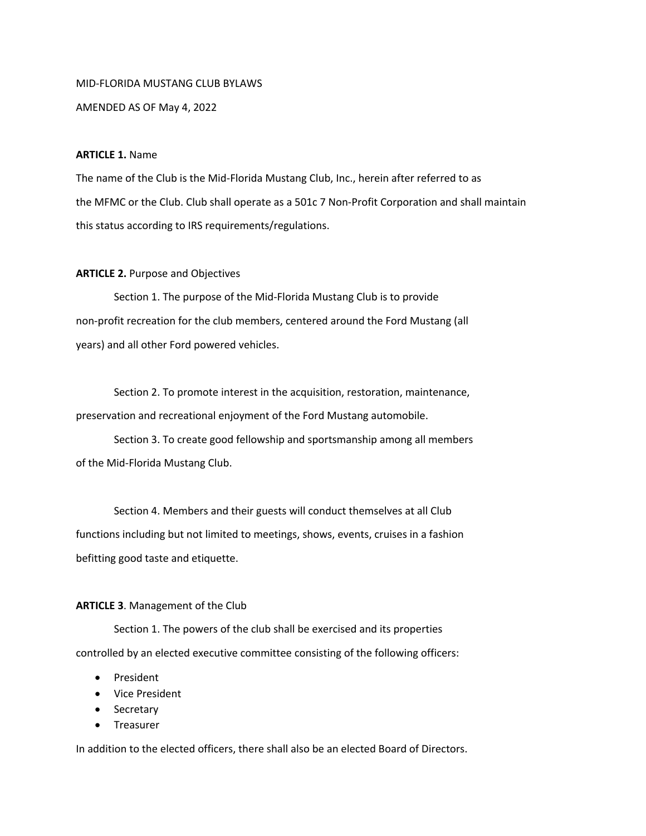## MID-FLORIDA MUSTANG CLUB BYLAWS

AMENDED AS OF May 4, 2022

## **ARTICLE 1.** Name

The name of the Club is the Mid-Florida Mustang Club, Inc., herein after referred to as the MFMC or the Club. Club shall operate as a 501c 7 Non-Profit Corporation and shall maintain this status according to IRS requirements/regulations.

## **ARTICLE 2.** Purpose and Objectives

Section 1. The purpose of the Mid-Florida Mustang Club is to provide non-profit recreation for the club members, centered around the Ford Mustang (all years) and all other Ford powered vehicles.

Section 2. To promote interest in the acquisition, restoration, maintenance, preservation and recreational enjoyment of the Ford Mustang automobile.

Section 3. To create good fellowship and sportsmanship among all members of the Mid-Florida Mustang Club.

Section 4. Members and their guests will conduct themselves at all Club functions including but not limited to meetings, shows, events, cruises in a fashion befitting good taste and etiquette.

## **ARTICLE 3**. Management of the Club

Section 1. The powers of the club shall be exercised and its properties controlled by an elected executive committee consisting of the following officers:

- President
- Vice President
- Secretary
- Treasurer

In addition to the elected officers, there shall also be an elected Board of Directors.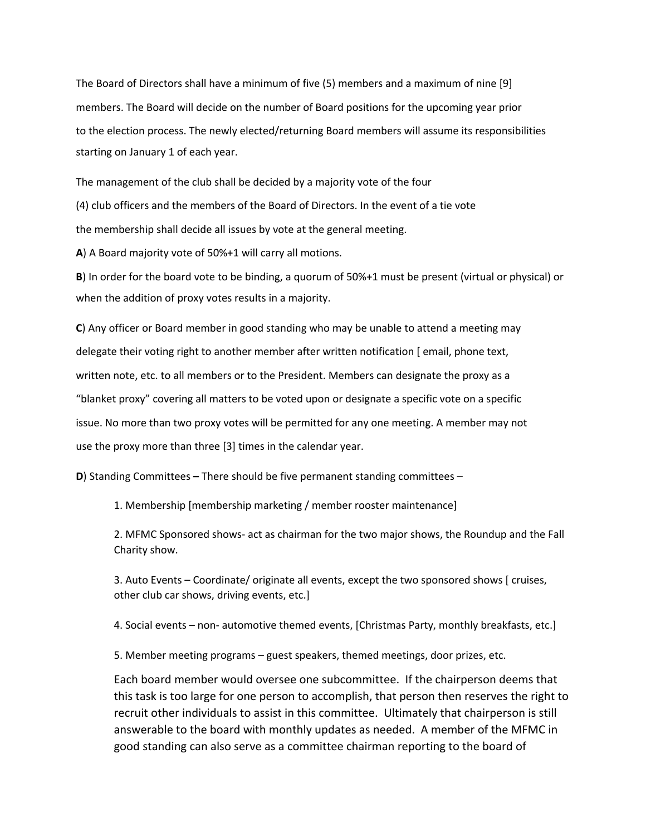The Board of Directors shall have a minimum of five (5) members and a maximum of nine [9] members. The Board will decide on the number of Board positions for the upcoming year prior to the election process. The newly elected/returning Board members will assume its responsibilities starting on January 1 of each year.

The management of the club shall be decided by a majority vote of the four

(4) club officers and the members of the Board of Directors. In the event of a tie vote

the membership shall decide all issues by vote at the general meeting.

**A**) A Board majority vote of 50%+1 will carry all motions.

**B**) In order for the board vote to be binding, a quorum of 50%+1 must be present (virtual or physical) or when the addition of proxy votes results in a majority.

**C**) Any officer or Board member in good standing who may be unable to attend a meeting may delegate their voting right to another member after written notification [ email, phone text, written note, etc. to all members or to the President. Members can designate the proxy as a "blanket proxy" covering all matters to be voted upon or designate a specific vote on a specific issue. No more than two proxy votes will be permitted for any one meeting. A member may not use the proxy more than three [3] times in the calendar year.

**D**) Standing Committees **–** There should be five permanent standing committees –

1. Membership [membership marketing / member rooster maintenance]

2. MFMC Sponsored shows- act as chairman for the two major shows, the Roundup and the Fall Charity show.

3. Auto Events – Coordinate/ originate all events, except the two sponsored shows [ cruises, other club car shows, driving events, etc.]

4. Social events – non- automotive themed events, [Christmas Party, monthly breakfasts, etc.]

5. Member meeting programs – guest speakers, themed meetings, door prizes, etc.

Each board member would oversee one subcommittee. If the chairperson deems that this task is too large for one person to accomplish, that person then reserves the right to recruit other individuals to assist in this committee. Ultimately that chairperson is still answerable to the board with monthly updates as needed. A member of the MFMC in good standing can also serve as a committee chairman reporting to the board of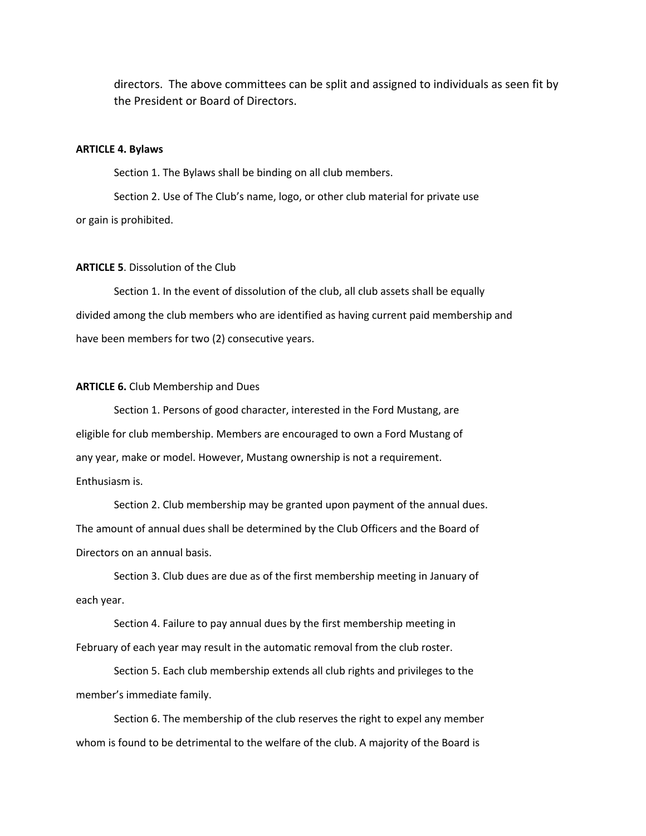directors. The above committees can be split and assigned to individuals as seen fit by the President or Board of Directors.

## **ARTICLE 4. Bylaws**

Section 1. The Bylaws shall be binding on all club members.

Section 2. Use of The Club's name, logo, or other club material for private use or gain is prohibited.

## **ARTICLE 5**. Dissolution of the Club

Section 1. In the event of dissolution of the club, all club assets shall be equally divided among the club members who are identified as having current paid membership and have been members for two (2) consecutive years.

#### **ARTICLE 6.** Club Membership and Dues

Section 1. Persons of good character, interested in the Ford Mustang, are eligible for club membership. Members are encouraged to own a Ford Mustang of any year, make or model. However, Mustang ownership is not a requirement. Enthusiasm is.

Section 2. Club membership may be granted upon payment of the annual dues. The amount of annual dues shall be determined by the Club Officers and the Board of Directors on an annual basis.

Section 3. Club dues are due as of the first membership meeting in January of each year.

Section 4. Failure to pay annual dues by the first membership meeting in February of each year may result in the automatic removal from the club roster.

Section 5. Each club membership extends all club rights and privileges to the member's immediate family.

Section 6. The membership of the club reserves the right to expel any member whom is found to be detrimental to the welfare of the club. A majority of the Board is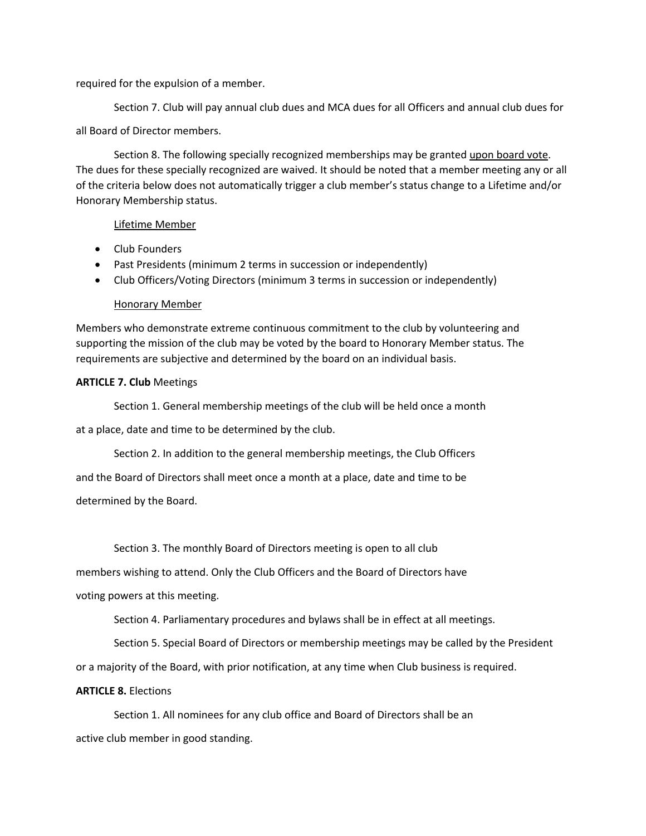required for the expulsion of a member.

Section 7. Club will pay annual club dues and MCA dues for all Officers and annual club dues for all Board of Director members.

Section 8. The following specially recognized memberships may be granted upon board vote. The dues for these specially recognized are waived. It should be noted that a member meeting any or all of the criteria below does not automatically trigger a club member's status change to a Lifetime and/or Honorary Membership status.

## Lifetime Member

- Club Founders
- Past Presidents (minimum 2 terms in succession or independently)
- Club Officers/Voting Directors (minimum 3 terms in succession or independently)

# Honorary Member

Members who demonstrate extreme continuous commitment to the club by volunteering and supporting the mission of the club may be voted by the board to Honorary Member status. The requirements are subjective and determined by the board on an individual basis.

# **ARTICLE 7. Club** Meetings

Section 1. General membership meetings of the club will be held once a month

at a place, date and time to be determined by the club.

Section 2. In addition to the general membership meetings, the Club Officers

and the Board of Directors shall meet once a month at a place, date and time to be determined by the Board.

Section 3. The monthly Board of Directors meeting is open to all club

members wishing to attend. Only the Club Officers and the Board of Directors have

voting powers at this meeting.

Section 4. Parliamentary procedures and bylaws shall be in effect at all meetings.

Section 5. Special Board of Directors or membership meetings may be called by the President

or a majority of the Board, with prior notification, at any time when Club business is required.

## **ARTICLE 8.** Elections

Section 1. All nominees for any club office and Board of Directors shall be an active club member in good standing.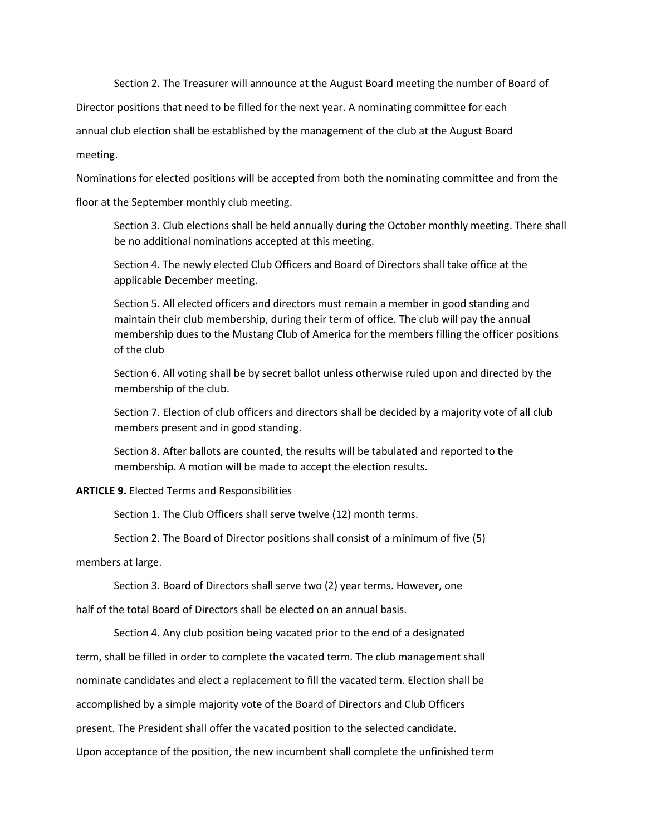Section 2. The Treasurer will announce at the August Board meeting the number of Board of

Director positions that need to be filled for the next year. A nominating committee for each

annual club election shall be established by the management of the club at the August Board

meeting.

Nominations for elected positions will be accepted from both the nominating committee and from the

floor at the September monthly club meeting.

Section 3. Club elections shall be held annually during the October monthly meeting. There shall be no additional nominations accepted at this meeting.

Section 4. The newly elected Club Officers and Board of Directors shall take office at the applicable December meeting.

Section 5. All elected officers and directors must remain a member in good standing and maintain their club membership, during their term of office. The club will pay the annual membership dues to the Mustang Club of America for the members filling the officer positions of the club

Section 6. All voting shall be by secret ballot unless otherwise ruled upon and directed by the membership of the club.

Section 7. Election of club officers and directors shall be decided by a majority vote of all club members present and in good standing.

Section 8. After ballots are counted, the results will be tabulated and reported to the membership. A motion will be made to accept the election results.

**ARTICLE 9.** Elected Terms and Responsibilities

Section 1. The Club Officers shall serve twelve (12) month terms.

Section 2. The Board of Director positions shall consist of a minimum of five (5)

members at large.

Section 3. Board of Directors shall serve two (2) year terms. However, one

half of the total Board of Directors shall be elected on an annual basis.

Section 4. Any club position being vacated prior to the end of a designated

term, shall be filled in order to complete the vacated term. The club management shall

nominate candidates and elect a replacement to fill the vacated term. Election shall be

accomplished by a simple majority vote of the Board of Directors and Club Officers

present. The President shall offer the vacated position to the selected candidate.

Upon acceptance of the position, the new incumbent shall complete the unfinished term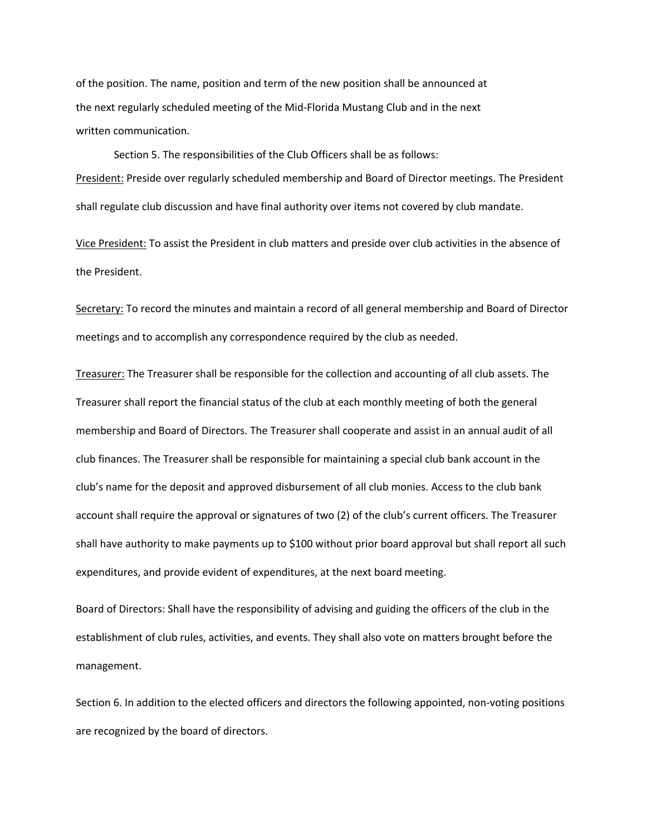of the position. The name, position and term of the new position shall be announced at the next regularly scheduled meeting of the Mid-Florida Mustang Club and in the next written communication.

Section 5. The responsibilities of the Club Officers shall be as follows: President: Preside over regularly scheduled membership and Board of Director meetings. The President shall regulate club discussion and have final authority over items not covered by club mandate.

Vice President: To assist the President in club matters and preside over club activities in the absence of the President.

Secretary: To record the minutes and maintain a record of all general membership and Board of Director meetings and to accomplish any correspondence required by the club as needed.

Treasurer: The Treasurer shall be responsible for the collection and accounting of all club assets. The Treasurer shall report the financial status of the club at each monthly meeting of both the general membership and Board of Directors. The Treasurer shall cooperate and assist in an annual audit of all club finances. The Treasurer shall be responsible for maintaining a special club bank account in the club's name for the deposit and approved disbursement of all club monies. Access to the club bank account shall require the approval or signatures of two (2) of the club's current officers. The Treasurer shall have authority to make payments up to \$100 without prior board approval but shall report all such expenditures, and provide evident of expenditures, at the next board meeting.

Board of Directors: Shall have the responsibility of advising and guiding the officers of the club in the establishment of club rules, activities, and events. They shall also vote on matters brought before the management.

Section 6. In addition to the elected officers and directors the following appointed, non-voting positions are recognized by the board of directors.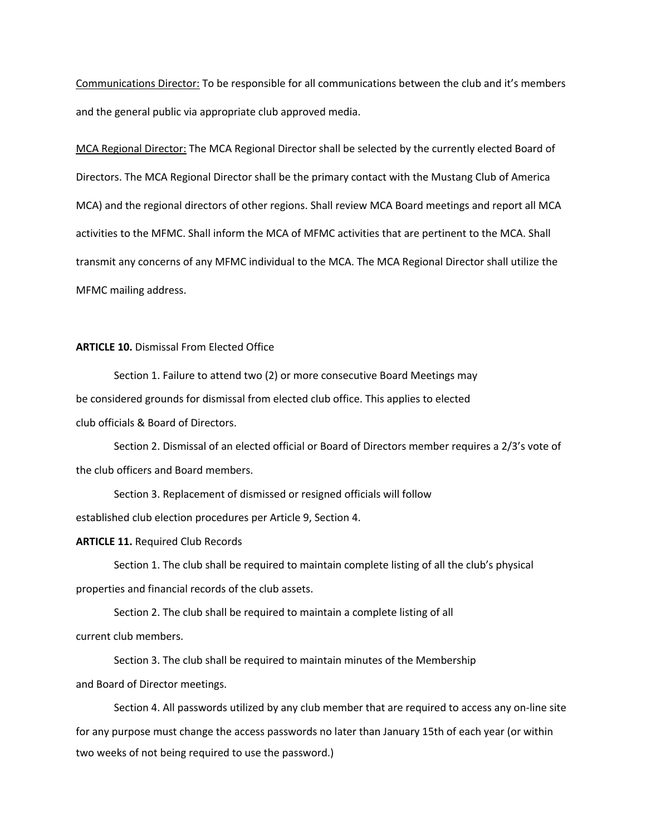Communications Director: To be responsible for all communications between the club and it's members and the general public via appropriate club approved media.

MCA Regional Director: The MCA Regional Director shall be selected by the currently elected Board of Directors. The MCA Regional Director shall be the primary contact with the Mustang Club of America MCA) and the regional directors of other regions. Shall review MCA Board meetings and report all MCA activities to the MFMC. Shall inform the MCA of MFMC activities that are pertinent to the MCA. Shall transmit any concerns of any MFMC individual to the MCA. The MCA Regional Director shall utilize the MFMC mailing address.

#### **ARTICLE 10.** Dismissal From Elected Office

Section 1. Failure to attend two (2) or more consecutive Board Meetings may be considered grounds for dismissal from elected club office. This applies to elected club officials & Board of Directors.

Section 2. Dismissal of an elected official or Board of Directors member requires a 2/3's vote of the club officers and Board members.

Section 3. Replacement of dismissed or resigned officials will follow

established club election procedures per Article 9, Section 4.

## **ARTICLE 11.** Required Club Records

Section 1. The club shall be required to maintain complete listing of all the club's physical properties and financial records of the club assets.

Section 2. The club shall be required to maintain a complete listing of all current club members.

Section 3. The club shall be required to maintain minutes of the Membership and Board of Director meetings.

Section 4. All passwords utilized by any club member that are required to access any on-line site for any purpose must change the access passwords no later than January 15th of each year (or within two weeks of not being required to use the password.)